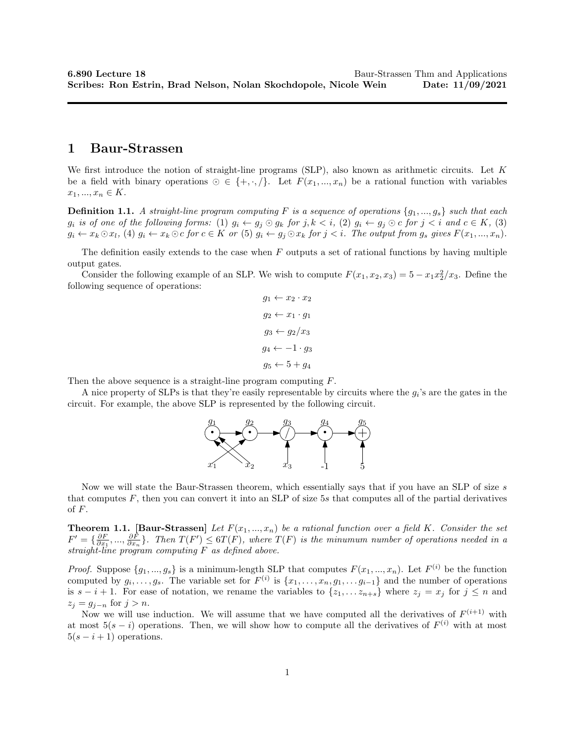## 1 Baur-Strassen

We first introduce the notion of straight-line programs (SLP), also known as arithmetic circuits. Let K be a field with binary operations  $\odot \in \{+, \cdot, \cdot\}$ . Let  $F(x_1, ..., x_n)$  be a rational function with variables  $x_1, ..., x_n \in K$ .

**Definition 1.1.** A straight-line program computing F is a sequence of operations  $\{g_1, ..., g_s\}$  such that each  $g_i$  is of one of the following forms: (1)  $g_i \leftarrow g_j \odot g_k$  for  $j, k \leq i$ , (2)  $g_i \leftarrow g_j \odot c$  for  $j \leq i$  and  $c \in K$ , (3)  $g_i \leftarrow x_k \odot x_l$ , (4)  $g_i \leftarrow x_k \odot c$  for  $c \in K$  or (5)  $g_i \leftarrow g_j \odot x_k$  for  $j \leq i$ . The output from  $g_s$  gives  $F(x_1, ..., x_n)$ .

The definition easily extends to the case when  $F$  outputs a set of rational functions by having multiple output gates.

Consider the following example of an SLP. We wish to compute  $F(x_1, x_2, x_3) = 5 - x_1x_2^2/x_3$ . Define the following sequence of operations:

$$
g_1 \leftarrow x_2 \cdot x_2
$$

$$
g_2 \leftarrow x_1 \cdot g_1
$$

$$
g_3 \leftarrow g_2/x_3
$$

$$
g_4 \leftarrow -1 \cdot g_3
$$

$$
g_5 \leftarrow 5 + g_4
$$

Then the above sequence is a straight-line program computing  $F$ .

A nice property of SLPs is that they're easily representable by circuits where the  $g_i$ 's are the gates in the circuit. For example, the above SLP is represented by the following circuit.



Now we will state the Baur-Strassen theorem, which essentially says that if you have an SLP of size s that computes  $F$ , then you can convert it into an SLP of size 5s that computes all of the partial derivatives of F.

**Theorem 1.1.** [Baur-Strassen] Let  $F(x_1, ..., x_n)$  be a rational function over a field K. Consider the set  $F' = \{\frac{\partial F}{\partial x_1},...,\frac{\partial F}{\partial x_n}\}.$  Then  $T(F') \leq 6T(F)$ , where  $T(F)$  is the minumum number of operations needed in a straight-line program computing  $F$  as defined above.

*Proof.* Suppose  $\{g_1, ..., g_s\}$  is a minimum-length SLP that computes  $F(x_1, ..., x_n)$ . Let  $F^{(i)}$  be the function computed by  $g_i, \ldots, g_s$ . The variable set for  $F^{(i)}$  is  $\{x_1, \ldots, x_n, g_1, \ldots, g_{i-1}\}$  and the number of operations is  $s - i + 1$ . For ease of notation, we rename the variables to  $\{z_1, \ldots z_{n+s}\}$  where  $z_j = x_j$  for  $j \leq n$  and  $z_j = g_{j-n}$  for  $j > n$ .

Now we will use induction. We will assume that we have computed all the derivatives of  $F^{(i+1)}$  with at most  $5(s-i)$  operations. Then, we will show how to compute all the derivatives of  $F^{(i)}$  with at most  $5(s-i+1)$  operations.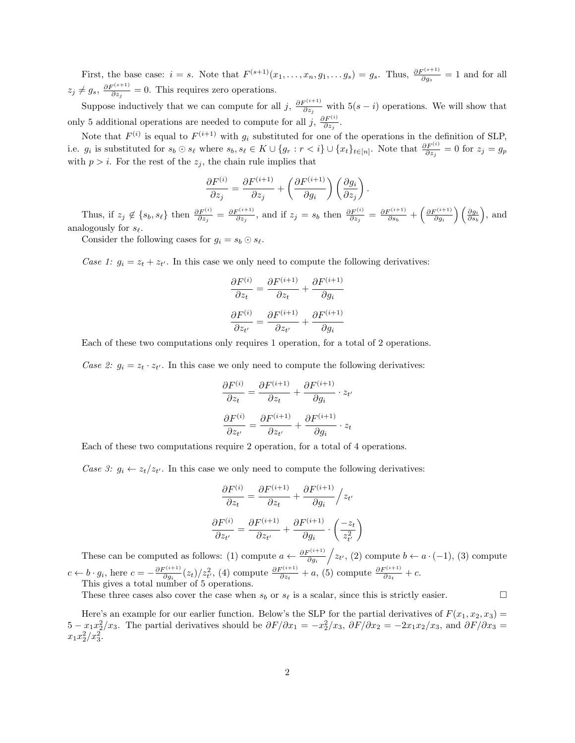First, the base case:  $i = s$ . Note that  $F^{(s+1)}(x_1, \ldots, x_n, g_1, \ldots, g_s) = g_s$ . Thus,  $\frac{\partial F^{(s+1)}}{\partial g_s} = 1$  and for all  $z_j \neq g_s$ ,  $\frac{\partial F^{(s+1)}}{\partial z_j} = 0$ . This requires zero operations.

Suppose inductively that we can compute for all j,  $\frac{\partial F^{(i+1)}}{\partial z_j}$  with 5(s – i) operations. We will show that only 5 additional operations are needed to compute for all j,  $\frac{\partial F^{(i)}}{\partial z_j}$ .

Note that  $F^{(i)}$  is equal to  $F^{(i+1)}$  with  $g_i$  substituted for one of the operations in the definition of SLP, i.e.  $g_i$  is substituted for  $s_b \odot s_\ell$  where  $s_b, s_\ell \in K \cup \{g_r : r < i\} \cup \{x_t\}_{t \in [n]}$ . Note that  $\frac{\partial F^{(i)}}{\partial z_j} = 0$  for  $z_j = g_p$ with  $p > i$ . For the rest of the  $z_j$ , the chain rule implies that

$$
\frac{\partial F^{(i)}}{\partial z_j} = \frac{\partial F^{(i+1)}}{\partial z_j} + \left(\frac{\partial F^{(i+1)}}{\partial g_i}\right) \left(\frac{\partial g_i}{\partial z_j}\right).
$$

Thus, if  $z_j \notin \{s_b, s_\ell\}$  then  $\frac{\partial F^{(i)}}{\partial z_j} = \frac{\partial F^{(i+1)}}{\partial z_j}$ , and if  $z_j = s_b$  then  $\frac{\partial F^{(i)}}{\partial z_j} = \frac{\partial F^{(i+1)}}{\partial s_b} + \left(\frac{\partial F^{(i+1)}}{\partial g_i}\right)\left(\frac{\partial g_i}{\partial s_b}\right)$ , and analogously for  $s_{\ell}$ .

Consider the following cases for  $g_i = s_b \odot s_{\ell}$ .

Case 1:  $g_i = z_t + z_{t'}$ . In this case we only need to compute the following derivatives:

$$
\frac{\partial F^{(i)}}{\partial z_t} = \frac{\partial F^{(i+1)}}{\partial z_t} + \frac{\partial F^{(i+1)}}{\partial g_i}
$$

$$
\frac{\partial F^{(i)}}{\partial z_{t'}} = \frac{\partial F^{(i+1)}}{\partial z_{t'}} + \frac{\partial F^{(i+1)}}{\partial g_i}
$$

Each of these two computations only requires 1 operation, for a total of 2 operations.

Case 2:  $g_i = z_t \cdot z_{t'}$ . In this case we only need to compute the following derivatives:

$$
\frac{\partial F^{(i)}}{\partial z_t} = \frac{\partial F^{(i+1)}}{\partial z_t} + \frac{\partial F^{(i+1)}}{\partial g_i} \cdot z_{t'}
$$

$$
\frac{\partial F^{(i)}}{\partial z_{t'}} = \frac{\partial F^{(i+1)}}{\partial z_{t'}} + \frac{\partial F^{(i+1)}}{\partial g_i} \cdot z_t
$$

Each of these two computations require 2 operation, for a total of 4 operations.

Case 3:  $g_i \leftarrow z_t/z_{t'}$ . In this case we only need to compute the following derivatives:

$$
\frac{\partial F^{(i)}}{\partial z_t} = \frac{\partial F^{(i+1)}}{\partial z_t} + \frac{\partial F^{(i+1)}}{\partial g_i} / z_{t'}
$$

$$
\frac{\partial F^{(i)}}{\partial z_{t'}} = \frac{\partial F^{(i+1)}}{\partial z_{t'}} + \frac{\partial F^{(i+1)}}{\partial g_i} \cdot \left(\frac{-z_t}{z_{t'}^2}\right)
$$

These can be computed as follows: (1) compute  $a \leftarrow \frac{\partial F^{(i+1)}}{\partial g_i} / z_{t'}$ , (2) compute  $b \leftarrow a \cdot (-1)$ , (3) compute  $c \leftarrow b \cdot g_i$ , here  $c = -\frac{\partial F^{(i+1)}}{\partial g_i}(z_t)/z_{t'}^2$ , (4) compute  $\frac{\partial F^{(i+1)}}{\partial z_t} + a$ , (5) compute  $\frac{\partial F^{(i+1)}}{\partial z_t} + c$ . This gives a total number of 5 operations.

These three cases also cover the case when  $s_b$  or  $s_\ell$  is a scalar, since this is strictly easier.

Here's an example for our earlier function. Below's the SLP for the partial derivatives of  $F(x_1, x_2, x_3) =$  $5 - x_1 x_2^2/x_3$ . The partial derivatives should be  $\partial F/\partial x_1 = -x_2^2/x_3$ ,  $\partial F/\partial x_2 = -2x_1x_2/x_3$ , and  $\partial F/\partial x_3 =$  $x_1x_2^2/x_3^2$ .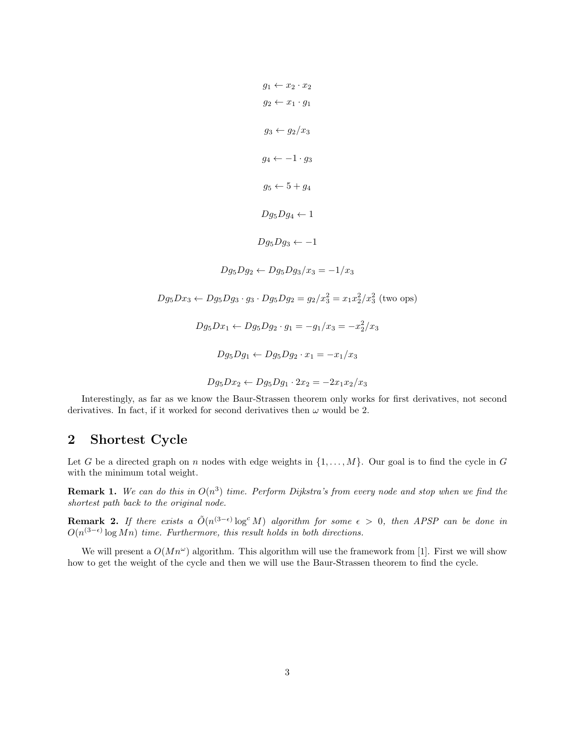$$
g_1 \leftarrow x_2 \cdot x_2
$$
  
\n
$$
g_2 \leftarrow x_1 \cdot g_1
$$
  
\n
$$
g_3 \leftarrow g_2/x_3
$$
  
\n
$$
g_4 \leftarrow -1 \cdot g_3
$$
  
\n
$$
g_5 \leftarrow 5 + g_4
$$
  
\n
$$
Dg_5Dg_4 \leftarrow 1
$$
  
\n
$$
Dg_5Dg_3 \leftarrow -1
$$
  
\n
$$
Dg_5Dg_3 \leftarrow -1
$$
  
\n
$$
Dg_5Dg_2 \leftarrow Dg_5Dg_3/x_3 = -1/x_3
$$
  
\n
$$
Dg_5Dx_3 \leftarrow Dg_5Dg_3 \cdot g_3 \cdot Dg_5Dg_2 = g_2/x_3^2 = x_1x_2^2/x_3^2 \text{ (two ops)}
$$
  
\n
$$
Dg_5Dx_1 \leftarrow Dg_5Dg_2 \cdot g_1 = -g_1/x_3 = -x_2^2/x_3
$$
  
\n
$$
Dg_5Dg_1 \leftarrow Dg_5Dg_2 \cdot x_1 = -x_1/x_3
$$
  
\n
$$
Dg_5Dx_2 \leftarrow Dg_5Dg_1 \cdot 2x_2 = -2x_1x_2/x_3
$$

Interestingly, as far as we know the Baur-Strassen theorem only works for first derivatives, not second derivatives. In fact, if it worked for second derivatives then  $\omega$  would be 2.

# 2 Shortest Cycle

Let G be a directed graph on n nodes with edge weights in  $\{1, \ldots, M\}$ . Our goal is to find the cycle in G with the minimum total weight.

**Remark 1.** We can do this in  $O(n^3)$  time. Perform Dijkstra's from every node and stop when we find the shortest path back to the original node.

**Remark 2.** If there exists a  $\tilde{O}(n^{(3-\epsilon)}\log^c M)$  algorithm for some  $\epsilon > 0$ , then APSP can be done in  $O(n^{(3-\epsilon)} \log Mn)$  time. Furthermore, this result holds in both directions.

We will present a  $O(Mn^{\omega})$  algorithm. This algorithm will use the framework from [1]. First we will show how to get the weight of the cycle and then we will use the Baur-Strassen theorem to find the cycle.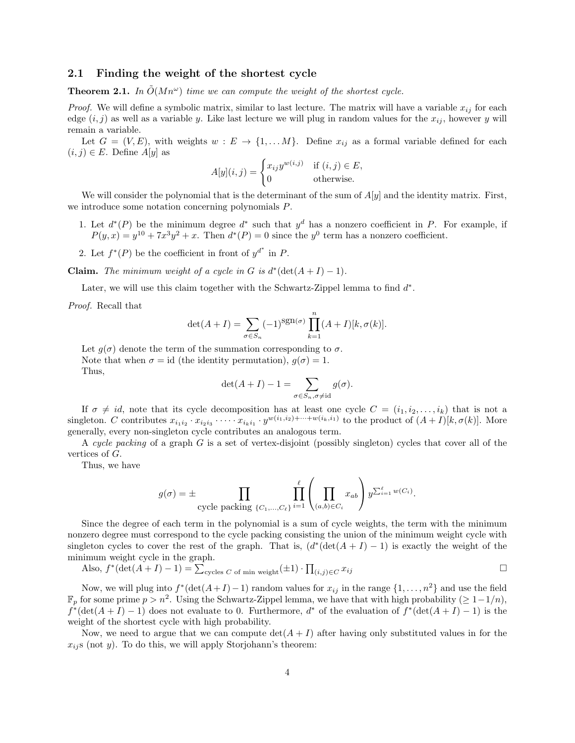### 2.1 Finding the weight of the shortest cycle

**Theorem 2.1.** In  $\tilde{O}(Mn^{\omega})$  time we can compute the weight of the shortest cycle.

*Proof.* We will define a symbolic matrix, similar to last lecture. The matrix will have a variable  $x_{ij}$  for each edge  $(i, j)$  as well as a variable y. Like last lecture we will plug in random values for the  $x_{ij}$ , however y will remain a variable.

Let  $G = (V, E)$ , with weights  $w : E \to \{1, \dots M\}$ . Define  $x_{ij}$  as a formal variable defined for each  $(i, j) \in E$ . Define  $A[y]$  as

$$
A[y](i,j) = \begin{cases} x_{ij}y^{w(i,j)} & \text{if } (i,j) \in E, \\ 0 & \text{otherwise.} \end{cases}
$$

We will consider the polynomial that is the determinant of the sum of  $A[y]$  and the identity matrix. First, we introduce some notation concerning polynomials P.

- 1. Let  $d^*(P)$  be the minimum degree  $d^*$  such that  $y^d$  has a nonzero coefficient in P. For example, if  $P(y, x) = y^{10} + 7x^3y^2 + x$ . Then  $d^*(P) = 0$  since the  $y^0$  term has a nonzero coefficient.
- 2. Let  $f^*(P)$  be the coefficient in front of  $y^{d^*}$  in P.

**Claim.** The minimum weight of a cycle in G is  $d^*(\det(A+I)-1)$ .

Later, we will use this claim together with the Schwartz-Zippel lemma to find  $d^*$ .

Proof. Recall that

$$
\det(A+I) = \sum_{\sigma \in S_n} (-1)^{\text{sgn}(\sigma)} \prod_{k=1}^n (A+I)[k, \sigma(k)].
$$

Let  $q(\sigma)$  denote the term of the summation corresponding to  $\sigma$ . Note that when  $\sigma = id$  (the identity permutation),  $g(\sigma) = 1$ . Thus,

$$
\det(A + I) - 1 = \sum_{\sigma \in S_n, \sigma \neq \text{id}} g(\sigma).
$$

If  $\sigma \neq id$ , note that its cycle decomposition has at least one cycle  $C = (i_1, i_2, \ldots, i_k)$  that is not a singleton. C contributes  $x_{i_1i_2} \cdot x_{i_2i_3} \cdot \cdots \cdot x_{i_ki_1} \cdot y^{w(i_1,i_2)+\cdots+w(i_k,i_1)}$  to the product of  $(A+I)[k, \sigma(k)]$ . More generally, every non-singleton cycle contributes an analogous term.

A cycle packing of a graph G is a set of vertex-disjoint (possibly singleton) cycles that cover all of the vertices of G.

Thus, we have

$$
g(\sigma) = \pm \prod_{\text{cycle packing }\{C_1,\dots,C_\ell\}} \prod_{i=1}^\ell \left( \prod_{(a,b)\in C_i} x_{ab} \right) y^{\sum_{i=1}^\ell w(C_i)}.
$$

Since the degree of each term in the polynomial is a sum of cycle weights, the term with the minimum nonzero degree must correspond to the cycle packing consisting the union of the minimum weight cycle with singleton cycles to cover the rest of the graph. That is,  $(d^*(\det(A + I) - 1))$  is exactly the weight of the minimum weight cycle in the graph.

Also, 
$$
f^*(\det(A + I) - 1) = \sum_{\text{cycles } C \text{ of min weight}} (\pm 1) \cdot \prod_{(i,j) \in C} x_{ij}
$$

Now, we will plug into  $f^*(\det(A+I)-1)$  random values for  $x_{ij}$  in the range  $\{1,\ldots,n^2\}$  and use the field  $\mathbb{F}_p$  for some prime  $p > n^2$ . Using the Schwartz-Zippel lemma, we have that with high probability  $( \geq 1-1/n)$ ,  $f^*(\det(A+I)-1)$  does not evaluate to 0. Furthermore,  $d^*$  of the evaluation of  $f^*(\det(A+I)-1)$  is the weight of the shortest cycle with high probability.

Now, we need to argue that we can compute  $\det(A + I)$  after having only substituted values in for the  $x_{ij}$  (not y). To do this, we will apply Storjohann's theorem: